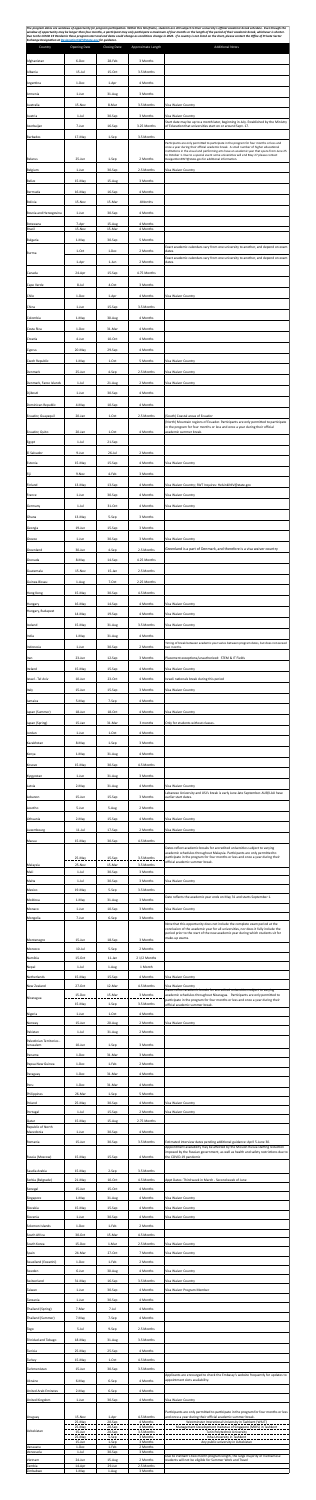The program dates are windows of opportunity for program participation. Within this timeframe, students are still subject to their university's official academic break schedule. Even though the window of opportunity may be longer than four months, a participant may only participate a maximum of four months or the length of the period of their academic break, whichever is shorter. Due to the COVID 19 Pandemic these program start and end dates could change as conditions change in 2022. If a country is not listed on the chart, please contact the Office of Private Sector *Exchange Designa4on at Designa4onSWT@state.gov for guidance.*

| Country<br>Afghanistan                        | <b>Opening Date</b><br>6-Dec         | <b>Closing Date</b><br>28-Feb       | Approximate Length<br>3 Months                 | <b>Additional Notes</b>                                                                                                                                                                                                                                                                                                                 |
|-----------------------------------------------|--------------------------------------|-------------------------------------|------------------------------------------------|-----------------------------------------------------------------------------------------------------------------------------------------------------------------------------------------------------------------------------------------------------------------------------------------------------------------------------------------|
| Albania                                       | $15$ -Jul                            | 15-Oct                              | 3.5 Months                                     |                                                                                                                                                                                                                                                                                                                                         |
| Argentina<br>Armenia                          | 1-Dec<br>1-Jun                       | 1-Apr<br>31-Aug                     | 4 Months<br>3 Months                           |                                                                                                                                                                                                                                                                                                                                         |
| Australia                                     | 15-Nov                               | 8-Mar                               | 3.5 Months                                     | Visa Waiver Country                                                                                                                                                                                                                                                                                                                     |
| Austria<br>Azerbaijan                         | $1-Jul$<br>7-Jun                     | 30-Sep<br>16-Sep                    | 3 Months<br>3.25 Months                        | Visa Waiver Country<br>Start date may be up to a month later, beginning in July. Established by the Ministry<br>of Education that universities start on or around Sept. 17.                                                                                                                                                             |
| <b>Barbados</b>                               | 17-May                               | 1-Sep                               | 3.5 Months                                     | Participants are only permitted to participate in the program for four months or less and                                                                                                                                                                                                                                               |
| <b>Belarus</b>                                | 25-Jun                               | 1-Sep                               | 2 Months                                       | once a year during their official academic break. A small number of higher educational<br>institutions in the visual and performing arts have an academic year that spans from June 25<br>to October 1. Due to a special event some universities will end May 27 please contact<br>DesigantionSWT@state.gov for additional information. |
| <b>Belgium</b>                                | 1-Jun                                | 30-Sep                              | 2.5 Months                                     | Visa Waiver Country                                                                                                                                                                                                                                                                                                                     |
| <b>Belize</b><br>Bermuda                      | 15-May<br>16-May                     | 15-Aug<br>16-Sep                    | 3 Months<br>4 Months                           |                                                                                                                                                                                                                                                                                                                                         |
| Bolivia                                       | 15-Nov                               | 15-Mar                              | 4Months                                        |                                                                                                                                                                                                                                                                                                                                         |
| Bosnia and Herzegovina<br>Botswana            | 1-Jun<br>7-Apr                       | 30-Sep<br>15-Aug                    | 4 Months<br>4 Months                           |                                                                                                                                                                                                                                                                                                                                         |
| <b>Brazil</b><br>Bulgaria                     | 15-Nov<br>1-May                      | 15-Mar<br>30-Sep                    | 4 Months<br>5 Months                           |                                                                                                                                                                                                                                                                                                                                         |
| Burma                                         | 1-Oct                                | 1-Dec                               | 2 Months                                       | Exact academic calendars vary from one university to another, and depend on exam<br>dates.<br>Exact academic calendars vary from one university to another, and depend on exam                                                                                                                                                          |
| Canada                                        | 1-Apr<br>24-Apr                      | 1-Jun<br>15-Sep                     | 2 Months<br>4.75 Months                        | dates.                                                                                                                                                                                                                                                                                                                                  |
| Cape Verde                                    | 8-Jul                                | 4-Oct                               | 3 Months                                       |                                                                                                                                                                                                                                                                                                                                         |
| Chile<br>China                                | 1-Dec<br>$1$ -Jun                    | 1-Apr<br>15-Sep                     | 4 Months<br>3.5 Months                         | Visa Waiver Country                                                                                                                                                                                                                                                                                                                     |
| Colombia                                      | 1-May                                | 30-Aug                              | 4 Months                                       |                                                                                                                                                                                                                                                                                                                                         |
| Costa Rica<br>Croatia                         | 1-Dec<br>4-Jun                       | 31-Mar<br>10-Oct                    | 4 Months<br>4 Months                           |                                                                                                                                                                                                                                                                                                                                         |
| Cyprus<br>Czech Republic                      | 20-May<br>1-May                      | 29-Sep<br>1-Oct                     | 4 Months<br>5 Months                           | Visa Waiver Country                                                                                                                                                                                                                                                                                                                     |
| Denmark                                       | 25-Jun                               | 4-Sep                               | 2.5 Months                                     | Visa Waiver Country                                                                                                                                                                                                                                                                                                                     |
| Denmark, Faroe Islands<br>Djibouti            | $1$ -Jul<br>1-Jun                    | 21-Aug<br>30-Sep                    | 2 Months<br>4 Months                           | Visa Waiver Country                                                                                                                                                                                                                                                                                                                     |
| Dominican Republic                            | 4-May                                | 10-Sep                              | 4 Months                                       |                                                                                                                                                                                                                                                                                                                                         |
| Ecuador, Guayaquil                            | 20-Jan                               | 1-Oct                               | 2.5 Months                                     | (South) Coastal areas of Ecuador<br>(North) Mountain regions of Ecuador. Participants are only permitted to participate<br>in the program for four months or less and once a year during their official                                                                                                                                 |
| Ecuador, Quito<br>Egypt                       | 20-Jan<br>$1$ -Jul                   | 1-Oct<br>21-Sep                     | 4 Months                                       | academic summer break.                                                                                                                                                                                                                                                                                                                  |
| El Salvador                                   | 9-Jun                                | $26$ -Jul                           | 2 Months                                       |                                                                                                                                                                                                                                                                                                                                         |
| Estonia<br>Fiji                               | 15-May<br>9-Nov                      | 15-Sep<br>4-Feb                     | 4 Months<br>3 Months                           | Visa Waiver Country                                                                                                                                                                                                                                                                                                                     |
| Finland                                       | 13-May                               | 13-Sep                              | 4 Months                                       | Visa Waiver Country; SWT Inquires: HelsinkiNIV@state.gov                                                                                                                                                                                                                                                                                |
| France<br>Germany                             | 1-Jun<br>$1$ -Jul                    | 30-Sep<br>31-Oct                    | 4 Months<br>4 Months                           | Visa Waiver Country<br>Visa Waiver Country                                                                                                                                                                                                                                                                                              |
| Ghana<br>Georgia                              | 13-May<br>19-Jun                     | 5-Sep<br>15-Sep                     | 3 Months<br>3 Months                           |                                                                                                                                                                                                                                                                                                                                         |
| Greece                                        | 1-Jun                                | 30-Sep                              | 3 Months                                       | Visa Waiver Country                                                                                                                                                                                                                                                                                                                     |
| Greenland<br>Grenada                          | 30-Jun<br>8-May                      | 4-Sep<br>14-Sep                     | 2.5 Months<br>4.25 Months                      | Greenland is a part of Denmark, and therefore is a visa waiver country                                                                                                                                                                                                                                                                  |
| Guatemala                                     | 15-Nov                               | 15-Jan                              | 2.5 Months                                     |                                                                                                                                                                                                                                                                                                                                         |
| Guinea-Bissau<br>Hong Kong                    | 1-Aug<br>15-May                      | 7-Oct<br>30-Sep                     | 2.25 Months<br>4.5 Months                      |                                                                                                                                                                                                                                                                                                                                         |
| Hungary<br>Hungary, Budapest                  | 16-May<br>14-May                     | 14-Sep                              | 4 Months<br>4 Months                           | Visa Waiver Country<br>Visa Waiver Country                                                                                                                                                                                                                                                                                              |
| Iceland                                       | 15-May                               | 19-Sep<br>31-Aug                    | 3.5 Months                                     | Visa Waiver Country                                                                                                                                                                                                                                                                                                                     |
| India<br>Indonesia                            | 1-May<br>1-Jun                       | 31-Aug<br>30-Sep                    | 4 Months<br>2 Months                           | Timing of break between academic year varies between program dates, but does not exceed<br>two months.                                                                                                                                                                                                                                  |
| Iran                                          | 23-Jun                               | 12-Sep                              | 3 Months                                       | Placement exceptions/unauthorized: STEM & IT Fields                                                                                                                                                                                                                                                                                     |
| Ireland<br>Israel - Tel Aviv                  | 15-May<br>10-Jun                     | 15-Sep<br>23-Oct                    | 4 Months<br>4 Months                           | Visa Waiver Country<br>Israeli nationals break during this period                                                                                                                                                                                                                                                                       |
| <b>Italy</b>                                  | 15-Jun                               | 15-Sep                              | 3 Months                                       | Visa Waiver Country                                                                                                                                                                                                                                                                                                                     |
| Jamaica<br>Japan (Summer)                     | 5-May<br>18-Jun                      | 7-Sep<br>18-Oct                     | 4 Months<br>4 Months                           | Visa Waiver Country                                                                                                                                                                                                                                                                                                                     |
| Japan (Spring)<br>Jordan                      | 15-Jan<br>1-Jun                      | 31-Mar<br>1-Oct                     | 3 months<br>4 Months                           | Only for students without classes.                                                                                                                                                                                                                                                                                                      |
| Kazakhstan                                    | 8-May                                | 1-Sep                               | 3 Months                                       |                                                                                                                                                                                                                                                                                                                                         |
| Kenya<br>  Kosovo                             | 1-May<br>15-May                      | 31-Aug<br>30-Sep                    | 4 Months<br>4.5 Months                         |                                                                                                                                                                                                                                                                                                                                         |
| Kyrgyzstan                                    | 1-Jun                                | 31-Aug                              | 3 Months                                       |                                                                                                                                                                                                                                                                                                                                         |
| Latvia<br>Lebanon                             | 2-May<br>15-Jun                      | 31-Aug<br>15-Sep                    | 4 Months<br>3 Months                           | Visa Waiver Country<br>Lebanese University and USJ's break is early June-late September. AUB/LAU have<br>earlier start dates.                                                                                                                                                                                                           |
| Lesotho<br>Lithuania                          | 5-Jun<br>2-May                       | 5-Aug<br>15-Sep                     | 2 Months<br>4 Months                           | Visa Waiver Country                                                                                                                                                                                                                                                                                                                     |
| Luxembourg                                    | $11$ -Jul                            | 17-Sep                              | 2 Months                                       | Visa Waiver Country                                                                                                                                                                                                                                                                                                                     |
| Macau                                         | 15-May                               | 30-Sep                              | 4.5 Months                                     | Dates reflect academic breaks for accredited universities subject to varying<br>academic schedules throughout Malaysia. Participants are only permitted to                                                                                                                                                                              |
| Malaysia<br>Mali                              | 25-May<br>25-Nov<br>$1-Jul$          | 15-Sep<br>15-Mar<br>30-Sep          | 3.5 Months<br>3.5 Months<br>3 Months           | participate in the program for four months or less and once a year during their<br>official academic summer break.                                                                                                                                                                                                                      |
| Malta                                         | $1$ -Jul                             | 30-Sep                              | 3 Months                                       | Visa Waiver Country                                                                                                                                                                                                                                                                                                                     |
| Mexico<br>Moldova                             | 19-May<br>1-May                      | 5-Sep<br>31-Aug                     | 3.5 Months<br>3 Months                         | Date reflects the academic year ends on May 31 and starts September 1.                                                                                                                                                                                                                                                                  |
| Monaco<br>Mongolia                            | 1-Jun<br>7-Jun                       | 10-Sep<br>6-Sep                     | 3 Months<br>3 Months                           | Visa Waiver Country                                                                                                                                                                                                                                                                                                                     |
|                                               | 15-Jun                               | 18-Sep                              | 3 Months                                       | Note that this opportunity does not include the complete exam period at the<br>conclusion of the academic year for all universities, nor does it fully include the<br>period prior to the start of the new academic year during which students sit for<br>make-up exams.                                                                |
| Montenegro<br>Morocco                         | $10$ -Jul                            | 5-Sep                               | 2 Months                                       |                                                                                                                                                                                                                                                                                                                                         |
| Namibia<br>Nepal                              | 15-Oct<br>$1$ -Jul                   | 11-Jan<br>1-Aug                     | 2 1/2 Months<br>1 Month                        |                                                                                                                                                                                                                                                                                                                                         |
| Netherlands<br>New Zealand                    | 15-May<br>27-Oct                     | 15-Sep<br>12-Mar                    | 4 Months<br>4.5 Months                         | Visa Waiver Country<br>Visa Waiver Country<br>Dates reflect academic breaks for accredited universities subject to varying                                                                                                                                                                                                              |
| Nicaragua                                     | 15-Dec<br>15-May                     | 15-Mar<br>1-Sep                     | 3 Months<br>3.5 Months                         | academic schedules throughout Nicaragua. Participants are only permitted to<br>participate in the program for four months or less and once a year during their<br>official academic summer break.                                                                                                                                       |
| Nigeria<br>Norway                             | 1-Jun<br>15-Jun                      | 1-Oct<br>20-Aug                     | 4 Months<br>2 Months                           | Visa Waiver Country                                                                                                                                                                                                                                                                                                                     |
| Pakistan<br>Palestinian Territories -         | $1$ -Jul                             | 31-Aug                              | 2 Months                                       |                                                                                                                                                                                                                                                                                                                                         |
| Jerusalem<br>Panama                           | 10-Jun<br>1-Dec                      | 1-Sep<br>31-Mar                     | 3 Months<br>3 Months                           |                                                                                                                                                                                                                                                                                                                                         |
| Papua New Guinea<br>Paraguay                  | 1-Dec<br>1-Dec                       | 1-Feb<br>31-Mar                     | 2 Months<br>4 Months                           |                                                                                                                                                                                                                                                                                                                                         |
| Peru                                          | 1-Dec<br>26-Mar                      | 31-Mar                              | 4 Months<br>5 Months                           |                                                                                                                                                                                                                                                                                                                                         |
| Philippines<br>Poland                         | 25-May                               | 1-Sep<br>30-Sep                     | 4 Months                                       | Visa Waiver Country                                                                                                                                                                                                                                                                                                                     |
| Portugal<br>Qatar<br>Republic of North        | $1$ -Jul<br>15-May                   | 15-Sep<br>15-Aug                    | 2 Months<br>2.75 Months                        | Visa Waiver Country                                                                                                                                                                                                                                                                                                                     |
| Macedonia<br>Romania                          | 1-Jun                                | 30-Sep                              | 4 Months                                       |                                                                                                                                                                                                                                                                                                                                         |
|                                               | 15-Jun                               | 30-Sep                              | 3.5 Months                                     | Estimated interview dates pending additional guidance: April 5-June 30.                                                                                                                                                                                                                                                                 |
| Russia (Moscow)                               | 15-May                               | 15-Sep                              | 4 Months                                       | Appointment availability may be affected by the Mission Russia staffing reduction<br>the COVID-19 pandemic                                                                                                                                                                                                                              |
| Saudia Arabia                                 | 15-May                               | 2-Sep                               | 3.5 Months                                     |                                                                                                                                                                                                                                                                                                                                         |
| Serbia (Belgrade)<br>Senegal                  | 21-May<br>15-Jun                     | 10-Oct<br>15-Oct                    | 4.5 Months<br>4 Months                         | Appt Dates: Third week in March - Second week of June                                                                                                                                                                                                                                                                                   |
| Singapore<br>Slovakia                         | 1-May<br>15-May                      | 31-Aug<br>15-Sep                    | 4 Months<br>4 Months                           | Visa Waiver Country<br>Visa Waiver Country                                                                                                                                                                                                                                                                                              |
| Slovenia<br>Solomon Islands                   | 1-Jun<br>1-Dec                       | 30-Sep<br>1-Feb                     | 4 Months<br>2 Months                           | Visa Waiver Country                                                                                                                                                                                                                                                                                                                     |
| South Africa<br>South Korea                   | 30-Oct<br>15-Dec                     | 15-Mar<br>1-Mar                     | 4.5 Months<br>2.5 Months                       | Visa Waiver Country                                                                                                                                                                                                                                                                                                                     |
| Spain<br>Swaziland (Eswatini)                 | 24-Mar<br>1-Dec                      | 27-Oct<br>1-Feb                     | 7 Months<br>2 Months                           | Visa Waiver Country                                                                                                                                                                                                                                                                                                                     |
| Sweden<br>Switzerland                         | 6-Jun<br>31-May                      | 30-Aug<br>16-Sep                    | 4 Months<br>3.5 Months                         | Visa Waiver Country<br>Visa Waiver Country                                                                                                                                                                                                                                                                                              |
| Taiwan<br>Tanzania                            | $1$ -Jun<br>1-Jun                    | 30-Sep<br>30-Sep                    | 4 Months<br>4 Months                           | Visa Waiver Program Member                                                                                                                                                                                                                                                                                                              |
| Thailand (Spring)                             | 7-Mar                                | 7-Jul                               | 4 Months                                       |                                                                                                                                                                                                                                                                                                                                         |
| Thailand (Summer)<br>  Togo                   | 7-May<br>5-Jul                       | 7-Sep<br>9-Sep                      | 4 Months<br>2.5 Months                         |                                                                                                                                                                                                                                                                                                                                         |
| Trinidad and Tobago                           | 18-May                               | 31-Aug                              | 3.5 Months                                     |                                                                                                                                                                                                                                                                                                                                         |
| Tunisia<br><b>Turkey</b>                      | 25-May<br>15-May                     | 25-Sep<br>1-Oct                     | 4 Months<br>4.5 Months                         |                                                                                                                                                                                                                                                                                                                                         |
| Turkmenistan<br>Ukraine                       | 15-Jun<br>6-May                      | 30-Sep<br>6-Sep                     | 3.5 Months<br>4 Months                         | Applicants are encourged to check the Embassy's website frequently for updates to<br>appointment slots availability.                                                                                                                                                                                                                    |
| <b>United Arab Emirates</b><br>United Kingdom | 2-May<br>1-Jun                       | 6-Sep<br>30-Sep                     | 4 Months<br>4 Months                           | Visa Waiver Country                                                                                                                                                                                                                                                                                                                     |
| Uruguay                                       | 15-Nov                               | 1-Apr                               | 4.5 Months                                     | and once a year during their official academic summer break.                                                                                                                                                                                                                                                                            |
| Uzbekistan                                    | 25-May<br>25-May<br>15-Jun<br>25-May | 20-Sep<br>20-Sep<br>20-Sep<br>5-Sep | 4 Months<br>4 Months<br>3.5 Months<br>3 Months | Westminster Interational University in Tashkent (WIUT)<br>Management Development Insitutue of Singapore (MDIS) in Tashkent<br>Turin Polytechnic University<br>Inha University in Tashkent                                                                                                                                               |
| Vanauatu<br>Venezuela                         | 15-Jun<br>1-Dec<br>$1$ -Jul          | 1-Sep<br>1-Feb<br>30-Sep            | 3 Months<br>2 Months<br>3 Months               | imposed by the Russian government, as well as health and safety restrictions due to<br>Participants are only permitted to participate in the program for four months or less<br>Any public university in Uzbekistan<br>Due to Vietnam's two month program length, the large majority of Vietnamese                                      |